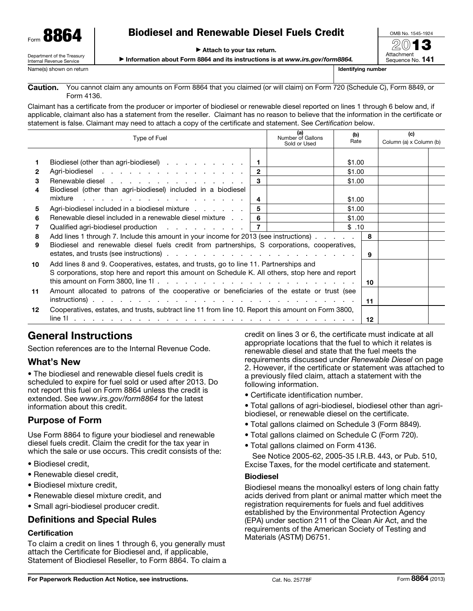# Biodiesel and Renewable Diesel Fuels Credit

▶ Attach to your tax return.

▶ Information about Form 8864 and its instructions is at *www.irs.gov/form8864.*

Department of the Treasury Internal Revenue Service Name(s) shown on return **Internal Control of the Control Control Control Control Control Control Control Control Control Control Control Control Control Control Control Control Control Control Control Control Control Contr** 

You cannot claim any amounts on Form 8864 that you claimed (or will claim) on Form 720 (Schedule C), Form 8849, or Form 4136. Caution.

Claimant has a certificate from the producer or importer of biodiesel or renewable diesel reported on lines 1 through 6 below and, if applicable, claimant also has a statement from the reseller. Claimant has no reason to believe that the information in the certificate or statement is false. Claimant may need to attach a copy of the certificate and statement. See *Certification* below.

|    | Type of Fuel                                                                                                                                                                              |                | (a)<br>Number of Gallons<br>Sold or Used | (b)<br>Rate |  | (c)<br>Column (a) x Column (b) |  |
|----|-------------------------------------------------------------------------------------------------------------------------------------------------------------------------------------------|----------------|------------------------------------------|-------------|--|--------------------------------|--|
|    | Biodiesel (other than agri-biodiesel)                                                                                                                                                     |                |                                          | \$1.00      |  |                                |  |
| 2  | Agri-biodiesel                                                                                                                                                                            | $\overline{2}$ |                                          | \$1.00      |  |                                |  |
| 3  | Renewable diesel                                                                                                                                                                          | 3              |                                          | \$1.00      |  |                                |  |
| 4  | Biodiesel (other than agri-biodiesel) included in a biodiesel                                                                                                                             |                |                                          |             |  |                                |  |
|    | mixture                                                                                                                                                                                   | 4              |                                          | \$1.00      |  |                                |  |
| 5  | Agri-biodiesel included in a biodiesel mixture                                                                                                                                            | 5              |                                          | \$1.00      |  |                                |  |
| 6  | Renewable diesel included in a renewable diesel mixture                                                                                                                                   | -6             |                                          | \$1.00      |  |                                |  |
| 7  | Qualified agri-biodiesel production $\cdots$ $\cdots$ $\cdots$ $\cdots$ $\cdots$ $\cdots$                                                                                                 |                |                                          | \$.10       |  |                                |  |
| 8  | Add lines 1 through 7. Include this amount in your income for 2013 (see instructions).                                                                                                    |                | 8                                        |             |  |                                |  |
| 9  | Biodiesel and renewable diesel fuels credit from partnerships, S corporations, cooperatives,                                                                                              |                | -9                                       |             |  |                                |  |
| 10 | Add lines 8 and 9. Cooperatives, estates, and trusts, go to line 11. Partnerships and<br>S corporations, stop here and report this amount on Schedule K. All others, stop here and report |                | 10                                       |             |  |                                |  |
| 11 | Amount allocated to patrons of the cooperative or beneficiaries of the estate or trust (see                                                                                               |                | 11                                       |             |  |                                |  |
| 12 | Cooperatives, estates, and trusts, subtract line 11 from line 10. Report this amount on Form 3800,                                                                                        |                | $12 \,$                                  |             |  |                                |  |

# General Instructions

Section references are to the Internal Revenue Code.

### What's New

• The biodiesel and renewable diesel fuels credit is scheduled to expire for fuel sold or used after 2013. Do not report this fuel on Form 8864 unless the credit is extended. See *www.irs.gov/form8864* for the latest information about this credit.

### Purpose of Form

Use Form 8864 to figure your biodiesel and renewable diesel fuels credit. Claim the credit for the tax year in which the sale or use occurs. This credit consists of the:

- Biodiesel credit,
- Renewable diesel credit,
- Biodiesel mixture credit,
- Renewable diesel mixture credit, and
- Small agri-biodiesel producer credit.

### Definitions and Special Rules

#### **Certification**

To claim a credit on lines 1 through 6, you generally must attach the Certificate for Biodiesel and, if applicable, Statement of Biodiesel Reseller, to Form 8864. To claim a credit on lines 3 or 6, the certificate must indicate at all appropriate locations that the fuel to which it relates is renewable diesel and state that the fuel meets the requirements discussed under *Renewable Diesel* on page 2. However, if the certificate or statement was attached to a previously filed claim, attach a statement with the following information.

• Certificate identification number.

• Total gallons of agri-biodiesel, biodiesel other than agribiodiesel, or renewable diesel on the certificate.

- Total gallons claimed on Schedule 3 (Form 8849).
- Total gallons claimed on Schedule C (Form 720).
- Total gallons claimed on Form 4136.

See Notice 2005-62, 2005-35 I.R.B. 443, or Pub. 510, Excise Taxes, for the model certificate and statement.

#### Biodiesel

Biodiesel means the monoalkyl esters of long chain fatty acids derived from plant or animal matter which meet the registration requirements for fuels and fuel additives established by the Environmental Protection Agency (EPA) under section 211 of the Clean Air Act, and the requirements of the American Society of Testing and Materials (ASTM) D6751.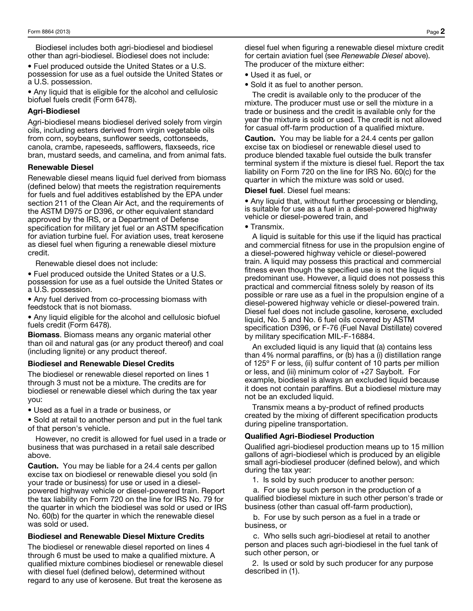Biodiesel includes both agri-biodiesel and biodiesel other than agri-biodiesel. Biodiesel does not include:

• Fuel produced outside the United States or a U.S. possession for use as a fuel outside the United States or a U.S. possession.

• Any liquid that is eligible for the alcohol and cellulosic biofuel fuels credit (Form 6478).

#### Agri-Biodiesel

Agri-biodiesel means biodiesel derived solely from virgin oils, including esters derived from virgin vegetable oils from corn, soybeans, sunflower seeds, cottonseeds, canola, crambe, rapeseeds, safflowers, flaxseeds, rice bran, mustard seeds, and camelina, and from animal fats.

#### Renewable Diesel

Renewable diesel means liquid fuel derived from biomass (defined below) that meets the registration requirements for fuels and fuel additives established by the EPA under section 211 of the Clean Air Act, and the requirements of the ASTM D975 or D396, or other equivalent standard approved by the IRS, or a Department of Defense specification for military jet fuel or an ASTM specification for aviation turbine fuel. For aviation uses, treat kerosene as diesel fuel when figuring a renewable diesel mixture credit.

Renewable diesel does not include:

• Fuel produced outside the United States or a U.S. possession for use as a fuel outside the United States or a U.S. possession.

• Any fuel derived from co-processing biomass with feedstock that is not biomass.

• Any liquid eligible for the alcohol and cellulosic biofuel fuels credit (Form 6478).

Biomass. Biomass means any organic material other than oil and natural gas (or any product thereof) and coal (including lignite) or any product thereof.

#### Biodiesel and Renewable Diesel Credits

The biodiesel or renewable diesel reported on lines 1 through 3 must not be a mixture. The credits are for biodiesel or renewable diesel which during the tax year you:

• Used as a fuel in a trade or business, or

• Sold at retail to another person and put in the fuel tank of that person's vehicle.

However, no credit is allowed for fuel used in a trade or business that was purchased in a retail sale described above.

**Caution.** You may be liable for a 24.4 cents per gallon excise tax on biodiesel or renewable diesel you sold (in your trade or business) for use or used in a dieselpowered highway vehicle or diesel-powered train. Report the tax liability on Form 720 on the line for IRS No. 79 for the quarter in which the biodiesel was sold or used or IRS No. 60(b) for the quarter in which the renewable diesel was sold or used.

#### Biodiesel and Renewable Diesel Mixture Credits

The biodiesel or renewable diesel reported on lines 4 through 6 must be used to make a qualified mixture. A qualified mixture combines biodiesel or renewable diesel with diesel fuel (defined below), determined without regard to any use of kerosene. But treat the kerosene as

diesel fuel when figuring a renewable diesel mixture credit for certain aviation fuel (see *Renewable Diesel* above). The producer of the mixture either:

• Used it as fuel, or

• Sold it as fuel to another person.

The credit is available only to the producer of the mixture. The producer must use or sell the mixture in a trade or business and the credit is available only for the year the mixture is sold or used. The credit is not allowed for casual off-farm production of a qualified mixture.

**Caution.** You may be liable for a 24.4 cents per gallon excise tax on biodiesel or renewable diesel used to produce blended taxable fuel outside the bulk transfer terminal system if the mixture is diesel fuel. Report the tax liability on Form 720 on the line for IRS No. 60(c) for the quarter in which the mixture was sold or used.

Diesel fuel. Diesel fuel means:

• Any liquid that, without further processing or blending, is suitable for use as a fuel in a diesel-powered highway vehicle or diesel-powered train, and

• Transmix.

A liquid is suitable for this use if the liquid has practical and commercial fitness for use in the propulsion engine of a diesel-powered highway vehicle or diesel-powered train. A liquid may possess this practical and commercial fitness even though the specified use is not the liquid's predominant use. However, a liquid does not possess this practical and commercial fitness solely by reason of its possible or rare use as a fuel in the propulsion engine of a diesel-powered highway vehicle or diesel-powered train. Diesel fuel does not include gasoline, kerosene, excluded liquid, No. 5 and No. 6 fuel oils covered by ASTM specification D396, or F-76 (Fuel Naval Distillate) covered by military specification MIL-F-16884.

An excluded liquid is any liquid that (a) contains less than 4% normal paraffins, or (b) has a (i) distillation range of 125º F or less, (ii) sulfur content of 10 parts per million or less, and (iii) minimum color of +27 Saybolt. For example, biodiesel is always an excluded liquid because it does not contain paraffins. But a biodiesel mixture may not be an excluded liquid.

Transmix means a by-product of refined products created by the mixing of different specification products during pipeline transportation.

#### Qualified Agri-Biodiesel Production

Qualified agri-biodiesel production means up to 15 million gallons of agri-biodiesel which is produced by an eligible small agri-biodiesel producer (defined below), and which during the tax year:

1. Is sold by such producer to another person:

a. For use by such person in the production of a qualified biodiesel mixture in such other person's trade or business (other than casual off-farm production),

b. For use by such person as a fuel in a trade or business, or

c. Who sells such agri-biodiesel at retail to another person and places such agri-biodiesel in the fuel tank of such other person, or

2. Is used or sold by such producer for any purpose described in (1).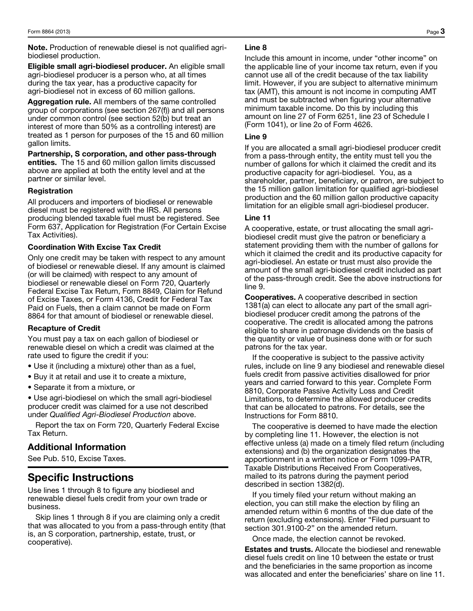Note. Production of renewable diesel is not qualified agribiodiesel production.

Eligible small agri-biodiesel producer. An eligible small agri-biodiesel producer is a person who, at all times during the tax year, has a productive capacity for agri-biodiesel not in excess of 60 million gallons.

Aggregation rule. All members of the same controlled group of corporations (see section 267(f)) and all persons under common control (see section 52(b) but treat an interest of more than 50% as a controlling interest) are treated as 1 person for purposes of the 15 and 60 million gallon limits.

Partnership, S corporation, and other pass-through entities. The 15 and 60 million gallon limits discussed above are applied at both the entity level and at the partner or similar level.

#### Registration

All producers and importers of biodiesel or renewable diesel must be registered with the IRS. All persons producing blended taxable fuel must be registered. See Form 637, Application for Registration (For Certain Excise Tax Activities).

#### Coordination With Excise Tax Credit

Only one credit may be taken with respect to any amount of biodiesel or renewable diesel. If any amount is claimed (or will be claimed) with respect to any amount of biodiesel or renewable diesel on Form 720, Quarterly Federal Excise Tax Return, Form 8849, Claim for Refund of Excise Taxes, or Form 4136, Credit for Federal Tax Paid on Fuels, then a claim cannot be made on Form 8864 for that amount of biodiesel or renewable diesel.

#### Recapture of Credit

You must pay a tax on each gallon of biodiesel or renewable diesel on which a credit was claimed at the rate used to figure the credit if you:

- Use it (including a mixture) other than as a fuel,
- Buy it at retail and use it to create a mixture,
- Separate it from a mixture, or

• Use agri-biodiesel on which the small agri-biodiesel producer credit was claimed for a use not described under *Qualified Agri-Biodiesel Production* above.

Report the tax on Form 720, Quarterly Federal Excise Tax Return.

### Additional Information

See Pub. 510, Excise Taxes.

## Specific Instructions

Use lines 1 through 8 to figure any biodiesel and renewable diesel fuels credit from your own trade or business.

Skip lines 1 through 8 if you are claiming only a credit that was allocated to you from a pass-through entity (that is, an S corporation, partnership, estate, trust, or cooperative).

#### Line 8

Include this amount in income, under "other income" on the applicable line of your income tax return, even if you cannot use all of the credit because of the tax liability limit. However, if you are subject to alternative minimum tax (AMT), this amount is not income in computing AMT and must be subtracted when figuring your alternative minimum taxable income. Do this by including this amount on line 27 of Form 6251, line 23 of Schedule I (Form 1041), or line 2o of Form 4626.

#### Line 9

If you are allocated a small agri-biodiesel producer credit from a pass-through entity, the entity must tell you the number of gallons for which it claimed the credit and its productive capacity for agri-biodiesel. You, as a shareholder, partner, beneficiary, or patron, are subject to the 15 million gallon limitation for qualified agri-biodiesel production and the 60 million gallon productive capacity limitation for an eligible small agri-biodiesel producer.

#### Line 11

A cooperative, estate, or trust allocating the small agribiodiesel credit must give the patron or beneficiary a statement providing them with the number of gallons for which it claimed the credit and its productive capacity for agri-biodiesel. An estate or trust must also provide the amount of the small agri-biodiesel credit included as part of the pass-through credit. See the above instructions for line 9.

Cooperatives. A cooperative described in section 1381(a) can elect to allocate any part of the small agribiodiesel producer credit among the patrons of the cooperative. The credit is allocated among the patrons eligible to share in patronage dividends on the basis of the quantity or value of business done with or for such patrons for the tax year.

If the cooperative is subject to the passive activity rules, include on line 9 any biodiesel and renewable diesel fuels credit from passive activities disallowed for prior years and carried forward to this year. Complete Form 8810, Corporate Passive Activity Loss and Credit Limitations, to determine the allowed producer credits that can be allocated to patrons. For details, see the Instructions for Form 8810.

The cooperative is deemed to have made the election by completing line 11. However, the election is not effective unless (a) made on a timely filed return (including extensions) and (b) the organization designates the apportionment in a written notice or Form 1099-PATR, Taxable Distributions Received From Cooperatives, mailed to its patrons during the payment period described in section 1382(d).

If you timely filed your return without making an election, you can still make the election by filing an amended return within 6 months of the due date of the return (excluding extensions). Enter "Filed pursuant to section 301.9100-2" on the amended return.

Once made, the election cannot be revoked.

Estates and trusts. Allocate the biodiesel and renewable diesel fuels credit on line 10 between the estate or trust and the beneficiaries in the same proportion as income was allocated and enter the beneficiaries' share on line 11.